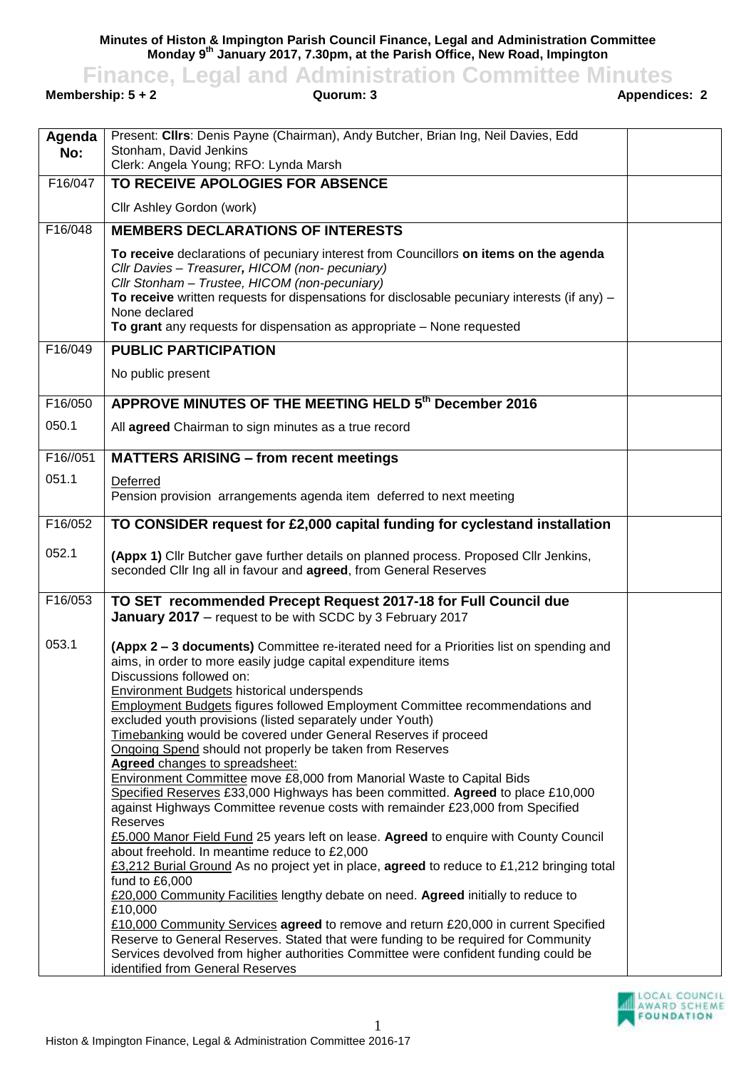**Minutes of Histon & Impington Parish Council Finance, Legal and Administration Committee Monday 9 th January 2017, 7.30pm, at the Parish Office, New Road, Impington**

**Finance, Legal and Administration Committee Minutes**<br>**Guorum: 3**<br>**Appendices: 2**<br>**Appendices: 2** 

**Membership: 5 + 2** 

| Agenda   | Present: Clirs: Denis Payne (Chairman), Andy Butcher, Brian Ing, Neil Davies, Edd                                                                                                                                                                                                                                                                                                      |  |
|----------|----------------------------------------------------------------------------------------------------------------------------------------------------------------------------------------------------------------------------------------------------------------------------------------------------------------------------------------------------------------------------------------|--|
| No:      | Stonham, David Jenkins                                                                                                                                                                                                                                                                                                                                                                 |  |
|          | Clerk: Angela Young; RFO: Lynda Marsh                                                                                                                                                                                                                                                                                                                                                  |  |
| F16/047  | TO RECEIVE APOLOGIES FOR ABSENCE                                                                                                                                                                                                                                                                                                                                                       |  |
|          | Cllr Ashley Gordon (work)                                                                                                                                                                                                                                                                                                                                                              |  |
| F16/048  | <b>MEMBERS DECLARATIONS OF INTERESTS</b>                                                                                                                                                                                                                                                                                                                                               |  |
|          | To receive declarations of pecuniary interest from Councillors on items on the agenda<br>Cllr Davies - Treasurer, HICOM (non- pecuniary)<br>Cllr Stonham - Trustee, HICOM (non-pecuniary)<br>To receive written requests for dispensations for disclosable pecuniary interests (if any) $-$<br>None declared<br>To grant any requests for dispensation as appropriate - None requested |  |
| F16/049  | <b>PUBLIC PARTICIPATION</b>                                                                                                                                                                                                                                                                                                                                                            |  |
|          | No public present                                                                                                                                                                                                                                                                                                                                                                      |  |
| F16/050  | APPROVE MINUTES OF THE MEETING HELD 5th December 2016                                                                                                                                                                                                                                                                                                                                  |  |
| 050.1    |                                                                                                                                                                                                                                                                                                                                                                                        |  |
|          | All agreed Chairman to sign minutes as a true record                                                                                                                                                                                                                                                                                                                                   |  |
| F16//051 | <b>MATTERS ARISING - from recent meetings</b>                                                                                                                                                                                                                                                                                                                                          |  |
| 051.1    | Deferred                                                                                                                                                                                                                                                                                                                                                                               |  |
|          | Pension provision arrangements agenda item deferred to next meeting                                                                                                                                                                                                                                                                                                                    |  |
|          |                                                                                                                                                                                                                                                                                                                                                                                        |  |
| F16/052  | TO CONSIDER request for £2,000 capital funding for cyclestand installation                                                                                                                                                                                                                                                                                                             |  |
| 052.1    | (Appx 1) Cllr Butcher gave further details on planned process. Proposed Cllr Jenkins,<br>seconded Cllr Ing all in favour and agreed, from General Reserves                                                                                                                                                                                                                             |  |
| F16/053  | TO SET recommended Precept Request 2017-18 for Full Council due                                                                                                                                                                                                                                                                                                                        |  |
|          | January 2017 - request to be with SCDC by 3 February 2017                                                                                                                                                                                                                                                                                                                              |  |
| 053.1    | (Appx 2 – 3 documents) Committee re-iterated need for a Priorities list on spending and<br>aims, in order to more easily judge capital expenditure items<br>Discussions followed on:                                                                                                                                                                                                   |  |
|          | <b>Environment Budgets historical underspends</b>                                                                                                                                                                                                                                                                                                                                      |  |
|          | <b>Employment Budgets figures followed Employment Committee recommendations and</b>                                                                                                                                                                                                                                                                                                    |  |
|          | excluded youth provisions (listed separately under Youth)                                                                                                                                                                                                                                                                                                                              |  |
|          | Timebanking would be covered under General Reserves if proceed                                                                                                                                                                                                                                                                                                                         |  |
|          | Ongoing Spend should not properly be taken from Reserves                                                                                                                                                                                                                                                                                                                               |  |
|          | Agreed changes to spreadsheet:                                                                                                                                                                                                                                                                                                                                                         |  |
|          | Environment Committee move £8,000 from Manorial Waste to Capital Bids                                                                                                                                                                                                                                                                                                                  |  |
|          | Specified Reserves £33,000 Highways has been committed. Agreed to place £10,000<br>against Highways Committee revenue costs with remainder £23,000 from Specified                                                                                                                                                                                                                      |  |
|          | <b>Reserves</b>                                                                                                                                                                                                                                                                                                                                                                        |  |
|          | £5.000 Manor Field Fund 25 years left on lease. Agreed to enquire with County Council                                                                                                                                                                                                                                                                                                  |  |
|          | about freehold. In meantime reduce to £2,000                                                                                                                                                                                                                                                                                                                                           |  |
|          | £3,212 Burial Ground As no project yet in place, agreed to reduce to £1,212 bringing total                                                                                                                                                                                                                                                                                             |  |
|          | fund to £6,000                                                                                                                                                                                                                                                                                                                                                                         |  |
|          | £20,000 Community Facilities lengthy debate on need. Agreed initially to reduce to                                                                                                                                                                                                                                                                                                     |  |
|          | £10,000<br>£10,000 Community Services agreed to remove and return £20,000 in current Specified                                                                                                                                                                                                                                                                                         |  |
|          | Reserve to General Reserves. Stated that were funding to be required for Community                                                                                                                                                                                                                                                                                                     |  |
|          | Services devolved from higher authorities Committee were confident funding could be                                                                                                                                                                                                                                                                                                    |  |
|          | identified from General Reserves                                                                                                                                                                                                                                                                                                                                                       |  |